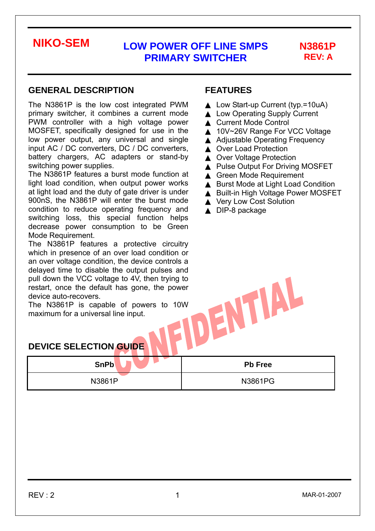# **REV: A**

#### **GENERAL DESCRIPTION**

The N3861P is the low cost integrated PWM primary switcher, it combines a current mode PWM controller with a high voltage power MOSFET, specifically designed for use in the low power output, any universal and single input AC / DC converters, DC / DC converters, battery chargers, AC adapters or stand-by switching power supplies.

The N3861P features a burst mode function at light load condition, when output power works at light load and the duty of gate driver is under 900nS, the N3861P will enter the burst mode condition to reduce operating frequency and switching loss, this special function helps decrease power consumption to be Green Mode Requirement.

The N3861P features a protective circuitry which in presence of an over load condition or an over voltage condition, the device controls a delayed time to disable the output pulses and<br>pull down the VCC voltage to 4V, then trying to<br>restart, once the default has gone, the power<br>device auto-recovers.<br>The N3861P is capable of powers to 10W<br>maximum for a univers pull down the VCC voltage to 4V, then trying to restart, once the default has gone, the power device auto-recovers.

The N3861P is capable of powers to 10W maximum for a universal line input.

### **FEATURES**

Low Start-up Current (typ.=10uA) **Low Operating Supply Current Current Mode Control** 10V~26V Range For VCC Voltage **Adjustable Operating Frequency Over Load Protection Over Voltage Protection** Pulse Output For Driving MOSFET **Green Mode Requirement Burst Mode at Light Load Condition Built-in High Voltage Power MOSFET Very Low Cost Solution** DIP-8 package

### **DEVICE SELECTION GUIDE**

| <b>SnPb</b> | <b>Pb Free</b> |
|-------------|----------------|
| N3861P      | N3861PG        |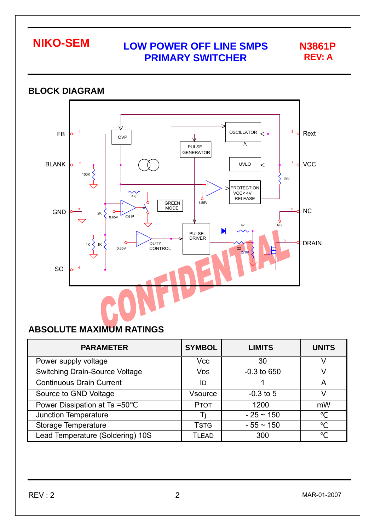

#### **BLOCK DIAGRAM**  OSCILLATOR Rext FB 1 8 OVP PULSE **GENERATOR** BLANK UVLO 7 **VCC** 2 ⋀ 100K ⋟ 820 + **ROTECTION**<br>VCC<4V -  $\begin{array}{|c|c|c|c|c|c|}\n\hline\n\hline\n\end{array}$   $\begin{array}{|c|c|c|c|c|}\n\hline\n\end{array}$   $\begin{array}{|c|c|c|c|}\n\hline\n\end{array}$   $\begin{array}{|c|c|c|c|}\n\hline\n\end{array}$   $\begin{array}{|c|c|c|c|}\n\hline\n\end{array}$   $\begin{array}{|c|c|c|c|}\n\hline\n\end{array}$   $\begin{array}{|c|c|c|c|}\n\hline\n\end{array}$   $\begin{array}{|c|c|c|c|$ RELEASE 1.85V GREEN MODE + GND 3 6 NC  $\Omega$ 2K - OLP 0.65V  $\sqrt{2}$ 47 PULSE DRIVER + 5 DRAIN - DUTY CONTROL 1K 1K 0.65V 22 270K SO 4

### **ABSOLUTE MAXIMUM RATINGS**

| <b>PARAMETER</b>                      | <b>SYMBOL</b>         | <b>LIMITS</b>  | <b>UNITS</b> |
|---------------------------------------|-----------------------|----------------|--------------|
| Power supply voltage                  | <b>Vcc</b>            | 30             |              |
| <b>Switching Drain-Source Voltage</b> | <b>V<sub>DS</sub></b> | $-0.3$ to 650  |              |
| <b>Continuous Drain Current</b>       | ID                    |                |              |
| Source to GND Voltage                 | Vsource               | $-0.3$ to 5    |              |
| Power Dissipation at Ta =50           | <b>PTOT</b>           | 1200           | mW           |
| <b>Junction Temperature</b>           |                       | $-25 \sim 150$ |              |
| Storage Temperature                   | <b>TSTG</b>           | $-55 \sim 150$ |              |
| Lead Temperature (Soldering) 10S      | <b>TLEAD</b>          | 300            |              |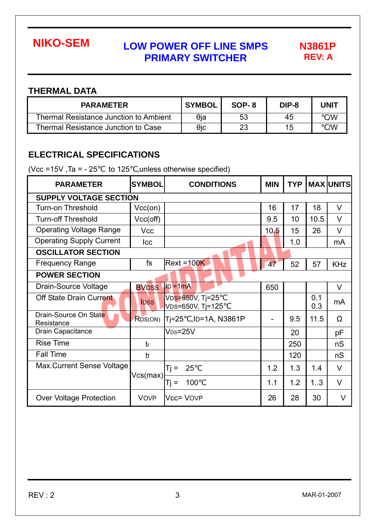**REV: A** 

### **THERMAL DATA**

| <b>PARAMETER</b>                       | <b>SYMBOL</b> | SOP-8 | DIP-8 | <b>UNIT</b> |
|----------------------------------------|---------------|-------|-------|-------------|
| Thermal Resistance Junction to Ambient | θja           | 53    | 45    | /W          |
| Thermal Resistance Junction to Case    | θic           | 23    | 15    | /W          |

### **ELECTRICAL SPECIFICATIONS**

(Vcc =15V, Ta =  $-25$  to 125 , unless otherwise specified)

| <b>PARAMETER</b>                    | <b>SYMBOL</b>     | <b>CONDITIONS</b>                   | <b>MIN</b> | <b>TYP</b> |            | <b>MAX UNITS</b> |  |  |  |
|-------------------------------------|-------------------|-------------------------------------|------------|------------|------------|------------------|--|--|--|
| <b>SUPPLY VOLTAGE SECTION</b>       |                   |                                     |            |            |            |                  |  |  |  |
| <b>Turn-on Threshold</b>            | Vcc(0n)           |                                     | 16         | 17         | 18         | $\vee$           |  |  |  |
| <b>Turn-off Threshold</b>           | Vcc(off)          |                                     | 9.5        | 10         | 10.5       | $\vee$           |  |  |  |
| <b>Operating Voltage Range</b>      | <b>Vcc</b>        |                                     | 10.5       | 15         | 26         | $\vee$           |  |  |  |
| <b>Operating Supply Current</b>     | Icc               |                                     |            | 1.0        |            | mA               |  |  |  |
| <b>OSCILLATOR SECTION</b>           |                   |                                     |            |            |            |                  |  |  |  |
| <b>Frequency Range</b>              | fs                | $Rext = 100K$                       | 47         | 52         | 57         | <b>KHz</b>       |  |  |  |
| <b>POWER SECTION</b>                |                   |                                     |            |            |            |                  |  |  |  |
| Drain-Source Voltage                | <b>BVDSS</b>      | $\text{ID} = 1 \text{mA}$           | 650        |            |            | V                |  |  |  |
| Off State Drain Current             | <b>IDSS</b>       | VDS=650V, Tj=25<br>VDS=650V, Tj=125 |            |            | 0.1<br>0.3 | mA               |  |  |  |
| Drain-Source On State<br>Resistance | RDS(ON)           | Ti=25 , ID=1A, N3861P               |            | 9.5        | 11.5       | Ω                |  |  |  |
| Drain Capacitance                   |                   | $V_{DS}=25V$                        |            | 20         |            | pF               |  |  |  |
| <b>Rise Time</b>                    | tr                |                                     |            | 250        |            | nS               |  |  |  |
| <b>Fall Time</b>                    | tf                |                                     |            | 120        |            | nS               |  |  |  |
| Max.Current Sense Voltage           | Vcs(max) <b> </b> | 25<br>Ti =                          | 1.2        | 1.3        | 1.4        | $\vee$           |  |  |  |
|                                     |                   | 100<br>Ti =                         | 1.1        | 1.2        | 1.3        | $\vee$           |  |  |  |
| <b>Over Voltage Protection</b>      | <b>VOVP</b>       | Vcc= VOVP                           | 26         | 28         | 30         | $\vee$           |  |  |  |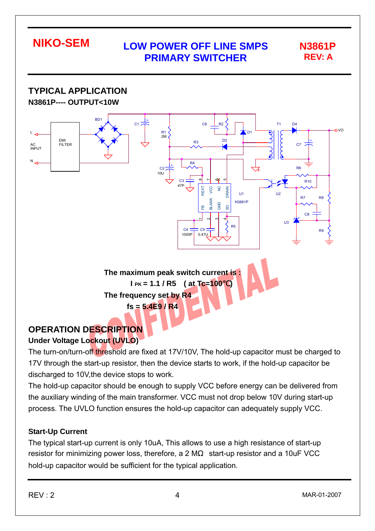**TYPICAL APPLICATION N3861P---- OUTPUT<10W**  BD1 +  $C<sub>1</sub>$ - + C6 R2 T1 D4  $\Omega$ L R1 2M D1 D2 EMI R3 + **FILTER**  $C<sub>7</sub>$ AC INPUT N R4  $C<sub>2</sub>$ **DA**  $1011$ C3 ന  $\overline{\phantom{0}}$  $\frac{6}{3}$ ເດ R10 47P  $\frac{0}{2}$ REXT VCC GND NC DRAIN U1  $\overline{112}$ <sub>D7</sub> **D**<sub>R</sub> BLANK N3861P GND SO  $\mathbf{f}$ C8  $\overline{\phantom{0}}$ ่ ო 4  $\overline{113}$ R5  $CA$  $C<sub>5</sub>$ **R** 1000P 0.47U **The maximum peak switch current is : I PK = 1.1 / R5 ( at Tc=100**℃**) The frequency set by R4 fs = 5.4E9 / R4** 

### **OPERATION DESCRIPTION Under Voltage Lockout (UVLO)**

The turn-on/turn-off threshold are fixed at 17V/10V, The hold-up capacitor must be charged to 17V through the start-up resistor, then the device starts to work, if the hold-up capacitor be discharged to 10V,the device stops to work.

The hold-up capacitor should be enough to supply VCC before energy can be delivered from the auxiliary winding of the main transformer. VCC must not drop below 10V during start-up process. The UVLO function ensures the hold-up capacitor can adequately supply VCC.

### **Start-Up Current**

The typical start-up current is only 10uA, This allows to use a high resistance of start-up resistor for minimizing power loss, therefore, a 2 M start-up resistor and a 10uF VCC hold-up capacitor would be sufficient for the typical application.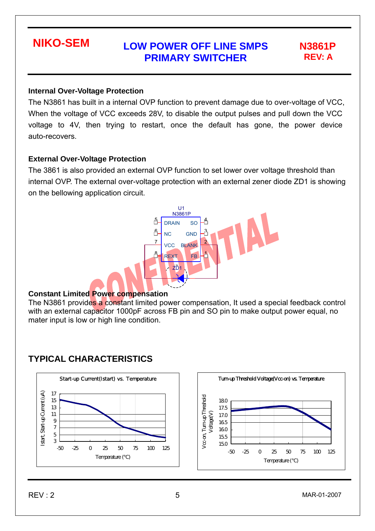#### **Internal Over-Voltage Protection**

The N3861 has built in a internal OVP function to prevent damage due to over-voltage of VCC, When the voltage of VCC exceeds 28V, to disable the output pulses and pull down the VCC voltage to 4V, then trying to restart, once the default has gone, the power device auto-recovers.

#### **External Over-Voltage Protection**

The 3861 is also provided an external OVP function to set lower over voltage threshold than internal OVP. The external over-voltage protection with an external zener diode ZD1 is showing on the bellowing application circuit.



#### **Constant Limited Power compensation**

The N3861 provides a constant limited power compensation, It used a special feedback control with an external capacitor 1000pF across FB pin and SO pin to make output power equal, no mater input is low or high line condition.

### **TYPICAL CHARACTERISTICS**

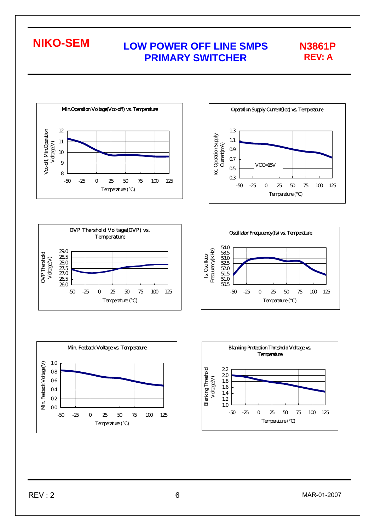Min.Operation Voltage(Vcc-off) vs. Temperature Voc-off, MinOperation 12 Vcc-off, Min.Operation 11 Voltage(V) 10 9 8 -50 -25 0 25 50 75 100 125 Temperature ( )









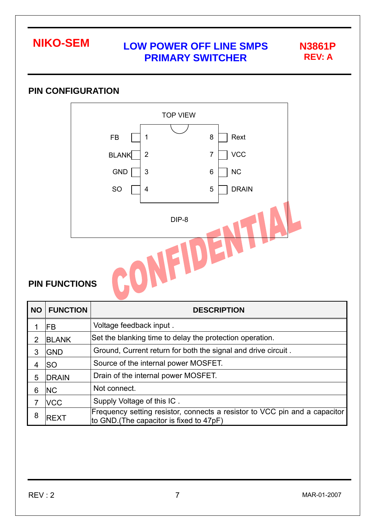

### **PIN CONFIGURATION**



### **PIN FUNCTIONS**

| <b>NO</b> | <b>FUNCTION</b>                                                             | <b>DESCRIPTION</b>                                                                                                     |  |  |  |
|-----------|-----------------------------------------------------------------------------|------------------------------------------------------------------------------------------------------------------------|--|--|--|
|           | FB                                                                          | Voltage feedback input.                                                                                                |  |  |  |
| 2         | <b>BLANK</b>                                                                | Set the blanking time to delay the protection operation.                                                               |  |  |  |
| 3         | Ground, Current return for both the signal and drive circuit.<br><b>GND</b> |                                                                                                                        |  |  |  |
| 4         | Source of the internal power MOSFET.<br>lso                                 |                                                                                                                        |  |  |  |
| 5         | <b>DRAIN</b>                                                                | Drain of the internal power MOSFET.                                                                                    |  |  |  |
| 6         | <b>NC</b>                                                                   | Not connect.                                                                                                           |  |  |  |
|           | <b>VCC</b>                                                                  | Supply Voltage of this IC.                                                                                             |  |  |  |
| 8         | <b>REXT</b>                                                                 | Frequency setting resistor, connects a resistor to VCC pin and a capacitor<br>to GND. (The capacitor is fixed to 47pF) |  |  |  |